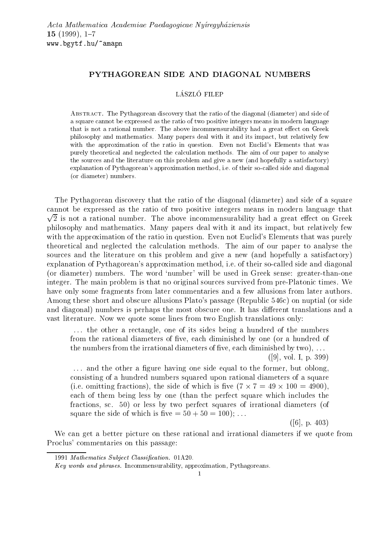# PYTHAGOREAN SIDE AND DIAGONAL NUMBERS

#### LÁSZLÓ FILEP

Abstract. The Pythagorean discovery that the ratio of the diagonal (diameter) and side of a square cannot be expressed as the ratio of two positive integers means in modern language that is not a rational number. The above incommensurability had a great effect on Greek philosophy and mathematics. Many papers deal with it and its impact, but relatively few with the approximation of the ratio in question. Even not Euclid's Elements that was purely theoretical and neglected the calculation methods. The aim of our paper to analyse the sources and the literature on this problem and give a new (and hopefully a satisfactory) explanation of Pythagorean's approximation method, i.e. of their so-called side and diagonal (or diameter) numbers.

The Pythagorean discovery that the ratio of the diagonal (diameter) and side of a square cannot be expressed as the ratio of two positive integers means in modern language that <u>provides the contract of the contract of the contract of the contract of the contract of the contract of the contract of the contract of the contract of the contract of the contract of the contract of the contract of the </u> 2 is not a rational number. The above incommensurability had a great eect on Greek philosophy and mathematics. Many papers deal with it and its impact, but relatively few with the approximation of the ratio in question. Even not Euclid's Elements that was purely theoretical and neglected the calculation methods. The aim of our paper to analyse the sources and the literature on this problem and give a new (and hopefully a satisfactory) explanation of Pythagorean's approximation method, i.e. of their so-called side and diagonal (or diameter) numbers. The word 'number' will be used in Greek sense: greater-than-one integer. The main problem is that no original sources survived from pre-Platonic times. We have only some fragments from later commentaries and a few allusions from later authors. Among these short and obscure allusions Plato's passage (Republic 546c) on nuptial (or side and diagonal) numbers is perhaps the most obscure one. It has different translations and a vast literature. Now we quote some lines from two English translations only:

... the other a rectangle, one of its sides being a hundred of the numbers from the rational diameters of five, each diminished by one (or a hundred of the numbers from the irrational diameters of five, each diminished by  $two)$ , ...

([9], vol. I, p. 399)

... and the other a figure having one side equal to the former, but oblong, consisting of a hundred numbers squared upon rational diameters of a square  $\mathbf{1}$  and  $\mathbf{1}$  and  $\mathbf{1}$  and  $\mathbf{1}$  and  $\mathbf{1}$  and  $\mathbf{1}$  and  $\mathbf{1}$  and  $\mathbf{1}$  and  $\mathbf{1}$  and  $\mathbf{1}$  and  $\mathbf{1}$  and  $\mathbf{1}$  and  $\mathbf{1}$  and  $\mathbf{1}$  and  $\mathbf{1}$  and  $\mathbf{1}$  and  $\mathbf{1}$  and each of them being less by one (than the perfect square which includes the fractions, sc. 50) or less by two perfect squares of irrational diameters (of square the side of which is five  $= 50 + 50 = 100$ ; ...

([6], p. 403)

We can get a better picture on these rational and irrational diameters if we quote from Proclus' commentaries on this passage:

<sup>1991</sup> Mathematics Subject Classification. 01A20.

Key words and phrases. Incommensurability, approximation, Pythagoreans.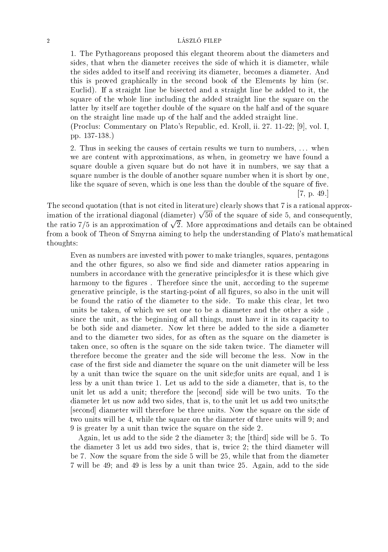## 2 LÁSZLÓ FILEP

1. The Pythagoreans proposed this elegant theorem about the diameters and sides, that when the diameter receives the side of which it is diameter, while the sides added to itself and receiving its diameter, becomes a diameter. And this is proved graphically in the second book of the Elements by him (sc. Euclid). If a straight line be bisected and a straight line be added to it, the square of the whole line including the added straight line the square on the latter by itself are together double of the square on the half and of the square on the straight line made up of the half and the added straight line.

(Proclus: Commentary on Plato's Republic, ed. Kroll, ii. 27. 11-22; [9], vol. I, pp. 137-138.)

2. Thus in seeking the causes of certain results we turn to numbers, ... when we are content with approximations, as when, in geometry we have found a square double a given square but do not have it in numbers, we say that a square number is the double of another square number when it is short by one, like the square of seven, which is one less than the double of the square of five.

[7, p. 49.]

The second quotation (that is not cited in literature) clearly shows that 7 is a rational approximation of the irrational diagonal (diameter)  $\sqrt{50}$  of the square of side 5, and consequently, the ratio 7/5 is an approximation of  $\sqrt{2}$ . More approximations and details can be obtained from a book of Theon of Smyrna aiming to help the understanding of Plato's mathematical thoughts:

Even as numbers are invested with power to make triangles, squares, pentagons and the other figures, so also we find side and diameter ratios appearing in numbers in accordance with the generative principles;for it is these which give harmony to the figures. Therefore since the unit, according to the supreme generative principle, is the starting-point of all gures, so also in the unit will be found the ratio of the diameter to the side. To make this clear, let two units be taken, of which we set one to be a diameter and the other a side , since the unit, as the beginning of all things, must have it in its capacity to be both side and diameter. Now let there be added to the side a diameter and to the diameter two sides, for as often as the square on the diameter is taken once, so often is the square on the side taken twice. The diameter will therefore become the greater and the side will become the less. Now in the case of the first side and diameter the square on the unit diameter will be less by a unit than twice the square on the unit side;for units are equal, and 1 is less by a unit than twice 1. Let us add to the side a diameter, that is, to the unit let us add a unit; therefore the [second] side will be two units. To the diameter let us now add two sides, that is, to the unit let us add two units;the [second] diameter will therefore be three units. Now the square on the side of two units will be 4, while the square on the diameter of three units will 9; and 9 is greater by a unit than twice the square on the side 2.

Again, let us add to the side 2 the diameter 3; the [third] side will be 5. To the diameter 3 let us add two sides, that is, twice 2; the third diameter will be 7. Now the square from the side 5 will be 25, while that from the diameter 7 will be 49; and 49 is less by a unit than twice 25. Again, add to the side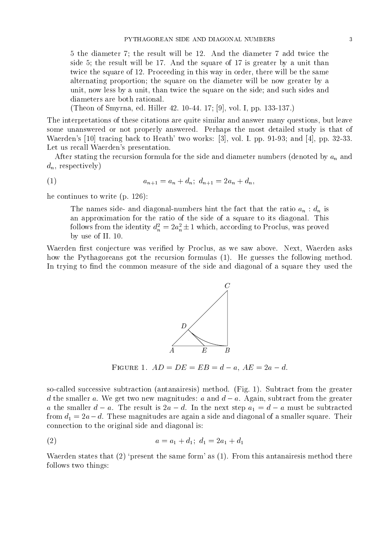5 the diameter 7; the result will be 12. And the diameter 7 add twice the side 5; the result will be 17. And the square of 17 is greater by a unit than twice the square of 12. Proceeding in this way in order, there will be the same alternating proportion; the square on the diameter will be now greater by a unit, now less by a unit, than twice the square on the side; and such sides and diameters are both rational.

(Theon of Smyrna, ed. Hiller 42. 10-44. 17; [9], vol. I, pp. 133-137.)

The interpretations of these citations are quite similar and answer many questions, but leave some unanswered or not properly answered. Perhaps the most detailed study is that of Waerden's [10] tracing back to Heath' two works: [3], vol. I. pp. 91-93; and [4], pp. 32-33. Let us recall Waerden's presentation.

After stating the recursion formula for the side and diameter numbers (denoted by  $a_n$  and  $d_n$ , respectively)

$$
(1) \t a_{n+1} = a_n + d_n; \ d_{n+1} = 2a_n + d_n,
$$

he continues to write (p. 126):

The names side- and diagonal-numbers hint the fact that the ratio  $a_n : d_n$  is an approximation for the ratio of the side of a square to its diagonal. This follows from the identity  $d_n^2 = 2a_n^2 \pm 1$  which, according to Proclus, was proved by use of II. 10.

Waerden first conjecture was verified by Proclus, as we saw above. Next, Waerden asks how the Pythagoreans got the recursion formulas (1). He guesses the following method. In trying to find the common measure of the side and diagonal of a square they used the



Figure 1. AD = DE = EB = d a, AE = 2a d.

so-called successive subtraction (antanairesis) method. (Fig. 1). Subtract from the greater d the smaller a. We get two new magnitudes: a and  $d - a$ . Again, subtract from the greater a the smaller  $d - a$ . The result is  $2a - d$ . In the next step  $a_1 = d - a$  must be subtracted from  $d_1 = 2a-d$ . These magnitudes are again a side and diagonal of a smaller square. Their connection to the original side and diagonal is:

$$
(2) \qquad \qquad a = a_1 + d_1; \ d_1 = 2a_1 + d_1
$$

Waerden states that  $(2)$  'present the same form' as  $(1)$ . From this antanairesis method there follows two things: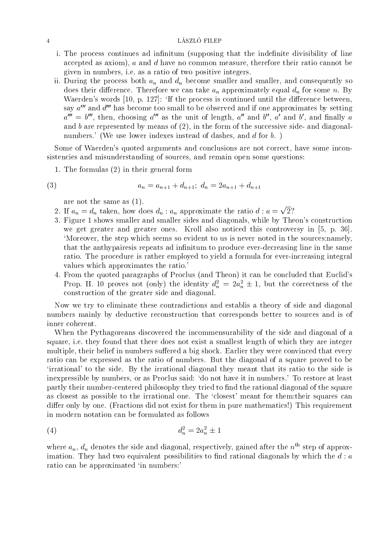### 4 LÁSZLÓ FILEP

- i. The process continues ad infinitum (supposing that the indefinite divisibility of line accepted as axiom),  $a$  and  $d$  have no common measure, therefore their ratio cannot be given in numbers, i.e. as a ratio of two positive integers.
- ii. During the process both  $a_n$  and  $d_n$  become smaller and smaller, and consequently so does their difference. Therefore we can take  $a_n$  approximately equal  $d_n$  for some n. By Waerden's words  $[10, p. 127]$ : 'If the process is continued until the difference between, say  $a^{\prime\prime\prime}$  and  $d^{\prime\prime\prime}$  has become too small to be observed and if one approximates by setting  $a^-\equiv o$  , then, choosing  $a^-$  as the unit of length,  $a^-$  and  $o$  ,  $a^-$  and  $o$  , and finally  $a^$ and  $b$  are represented by means of  $(2)$ , in the form of the successive side- and diagonalnumbers.' (We use lower indexes instead of dashes, and d for b.)

Some of Waerden's quoted arguments and conclusions are not correct, have some inconsistencies and misunderstanding of sources, and remain open some questions:

1. The formulas (2) in their general form

$$
(3) \t\t\t a_n = a_{n+1} + d_{n+1}; \t\t a_n = 2a_{n+1} + d_{n+1}
$$

are not the same as (1).

- 2. If  $a_n = d_n$  taken, how does  $d_n : a_n$  approximate the ratio  $d : a = \sqrt{2}$ ?
- 3. Figure 1 shows smaller and smaller sides and diagonals, while by Theon's construction we get greater and greater ones. Kroll also noticed this controversy in [5, p. 36]. `Moreover, the step which seems so evident to us is never noted in the sources:namely, that the anthypaires is repeats ad infinitum to produce ever-decreasing line in the same ratio. The procedure is rather employed to yield a formula for ever-increasing integral values which approximates the ratio.'
- 4. From the quoted paragraphs of Proclus (and Theon) it can be concluded that Euclid's Prop. II. 10 proves not (only) the identity  $d_n^2 = 2a_n^2 \pm 1$ , but the correctness of the construction of the greater side and diagonal.

Now we try to eliminate these contradictions and establis a theory of side and diagonal numbers mainly by deductive reconstruction that corresponds better to sources and is of inner coherent.

When the Pythagoreans discovered the incommensurability of the side and diagonal of a square, i.e. they found that there does not exist a smallest length of which they are integer multiple, their belief in numbers suffered a big shock. Earlier they were convinced that every ratio can be expressed as the ratio of numbers. But the diagonal of a square proved to be `irrational' to the side. By the irrational diagonal they meant that its ratio to the side is inexpressible by numbers, or as Proclus said: `do not have it in numbers.' To restore at least partly their number-centered philosophy they tried to find the rational diagonal of the square as closest as possible to the irrational one. The `closest' meant for them:their squares can differ only by one. (Fractions did not exist for them in pure mathematics!) This requirement in modern notation can be formulated as follows

(4) 
$$
d_n^2 = 2a_n^2 \pm 1
$$

where  $a_n$ ,  $d_n$  denotes the side and diagonal, respectively, gained after the  $n<sup>th</sup>$  step of approximation. They had two equivalent possibilities to find rational diagonals by which the  $d : a$ ratio can be approximated 'in numbers:'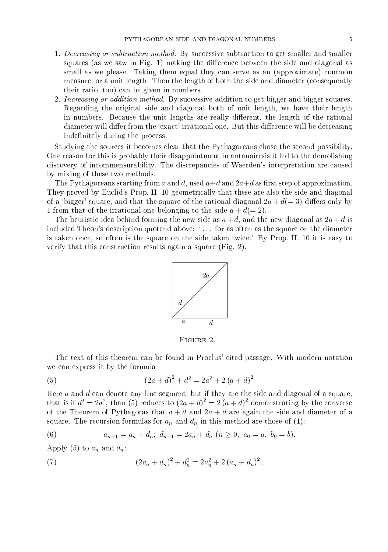- 1. Decreasing or subtraction method. By successive subtraction to get smaller and smaller squares (as we saw in Fig. 1) making the difference between the side and diagonal as small as we please. Taking them equal they can serve as an (approximate) common measure, or a unit length. Then the length of both the side and diameter (consequently their ratio, too) can be given in numbers.
- 2. Increasing or addition method. By successive addition to get bigger and bigger squares. Regarding the original side and diagonal both of unit length, we have their length in numbers. Because the unit lengths are really different, the length of the rational diameter will differ from the 'exact' irrational one. But this difference will be decreasing indefinitely during the process.

Studying the sources it becomes clear that the Pythagoreans chose the second possibility. One reason for this is probably their disappointment in antanairesis:it led to the demolishing discovery of incommensurability. The discrepancies of Waerden's interpretation are caused by mixing of these two methods.

The Pythagoreans starting from a and d, used  $a+d$  and  $2a+d$  as first step of approximation. They proved by Euclid's Prop. II. 10 geometrically that these are also the side and diagonal of a 'bigger' square, and that the square of the rational diagonal  $2a + d(= 3)$  differs only by 1 from that of the irrational one belonging to the side  $a + d(= 2)$ .

The heuristic idea behind forming the new side as  $a + d$ , and the new diagonal as  $2a + d$  is included Theon's description quotend above: '... for as often as the square on the diameter is taken once, so often is the square on the side taken twice.' By Prop. II. 10 it is easy to verify that this construction results again a square (Fig. 2).



The text of this theorem can be found in Proclus' cited passage. With modern notation we can express it by the formula

(5) 
$$
(2a+d)^2 + d^2 = 2a^2 + 2(a+d)^2
$$

Here  $a$  and  $d$  can denote any line segment, but if they are the side and diagonal of a square, that is if  $d^2 = 2a^2$ , than (5) reduces to  $(2a + d) = 2(a + d)$  demonstrating by the converse of the Theorem of Pythagoras that  $a + d$  and  $2a + d$  are again the side and diameter of a square. The recursion formulas for  $a_n$  and  $d_n$  in this method are those of (1):

(6) 
$$
a_{n+1} = a_n + d_n; \ d_{n+1} = 2a_n + d_n \ (n \ge 0, \ a_0 = a, \ b_0 = b).
$$

Apply (5) to  $a_n$  and  $d_n$ :

(7) 
$$
(2a_n + d_n)^2 + d_n^2 = 2a_n^2 + 2(a_n + d_n)^2.
$$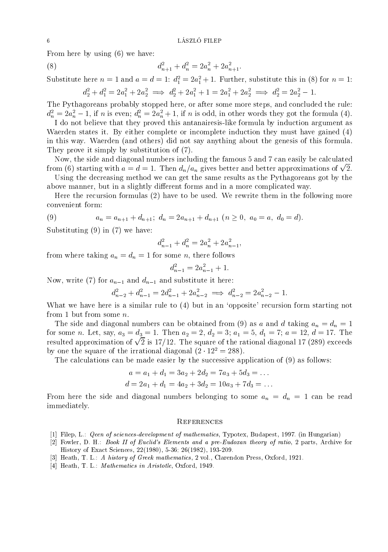From here by using (6) we have:

(8) 
$$
d_{n+1}^2 + d_n^2 = 2a_n^2 + 2a_{n+1}^2.
$$

Substitute here  $n = 1$  and  $a = a = 1$ :  $a_1 = 2a_1 + 1$ . Further, substitute this in (8) for  $n = 1$ :  $a_2^2 + a_1^2 = 2a_1^2 + 2a_2^2 \implies a_2^2 + 2a_1^2 + 1 = 2a_1^2 + 2a_2^2 \implies a_2^2 = 2a_2^2 - 1.$ 

The Pythagoreans probably stopped here, or after some more steps, and concluded the rule:  $d_n^2 = 2a_n^2 - 1$ , if n is even;  $d_n^2 = 2a_n^2 + 1$ , if n is odd, in other words they got the formula (4).

I do not believe that they proved this antanairesis-like formula by induction argument as Waerden states it. By either complete or incomplete induction they must have gained (4) in this way. Waerden (and others) did not say anything about the genesis of this formula. They prove it simply by substitution of (7).

Now, the side and diagonal numbers including the famous 5 and 7 can easily be calculated from (6) starting with  $a=d=1$ . Then  $d_n/a_n$  gives better and better approximations of  $\sqrt{2}$ .

Using the decreasing method we can get the same results as the Pythagoreans got by the above manner, but in a slightly different forms and in a more complicated way.

Here the recursion formulas  $(2)$  have to be used. We rewrite them in the following more convenient form:

(9) 
$$
a_n = a_{n+1} + d_{n+1}; \ d_n = 2a_{n+1} + d_{n+1} \ (n \ge 0, \ a_0 = a, \ d_0 = d).
$$

Substituting (9) in (7) we have:

$$
d_{n-1}^2 + d_n^2 = 2a_n^2 + 2a_{n-1}^2,
$$

from where taking  $a_n = d_n = 1$  for some n, there follows

$$
d_{n-1}^2 = 2a_{n-1}^2 + 1.
$$

Now, write (7) for  $a_{n-1}$  and  $d_{n-1}$  and substitute it here:

$$
d_{n-2}^2 + d_{n-1}^2 = 2d_{n-1}^2 + 2a_{n-2}^2 \implies d_{n-2}^2 = 2a_{n-2}^2 - 1.
$$

What we have here is a similar rule to (4) but in an 'opposite' recursion form starting not

from 1 but from some *n*.<br>The side and diagonal numbers can be obtained from (9) as *a* and *d* taking  $a_n = d_n = 1$ for some n. Let, say,  $a_3 = d_3 = 1$ . Then  $a_2 = 2$ ,  $d_2 = 3$ ;  $a_1 = 5$ ,  $d_1 = 7$ ;  $a = 12$ ,  $d = 17$ . The resulted approximation of  $\sqrt{2}$  is 17/12. The square of the rational diagonal 17 (289) exceeds by one the square of the irrational diagonal  $(2 \cdot 12^2 = 288)$ .

The calculations can be made easier by the successive application of (9) as follows:

$$
a = a_1 + d_1 = 3a_2 + 2d_2 = 7a_3 + 5d_3 = \dots
$$
  

$$
d = 2a_1 + d_1 = 4a_2 + 3d_2 = 10a_3 + 7d_3 = \dots
$$

From here the side and diagonal numbers belonging to some  $a_n = d_n = 1$  can be read immediately.

#### **REFERENCES**

- [1] Filep, L.: Qeen of sciences-development of mathematics, Typotex, Budapest, 1997. (in Hungarian)
- [2] Fowler, D. H.: Book II of Euclid's Elements and a pre-Eudoxan theory of ratio, 2 parts, Archive for History of Exact Sciences, 22(1980), 5-36; 26(1982), 193-209.
- [3] Heath, T. L.: A history of Greek mathematics, 2 vol., Clarendon Press, Oxford, 1921.
- [4] Heath, T. L.: *Mathematics in Aristotle*, Oxford, 1949.